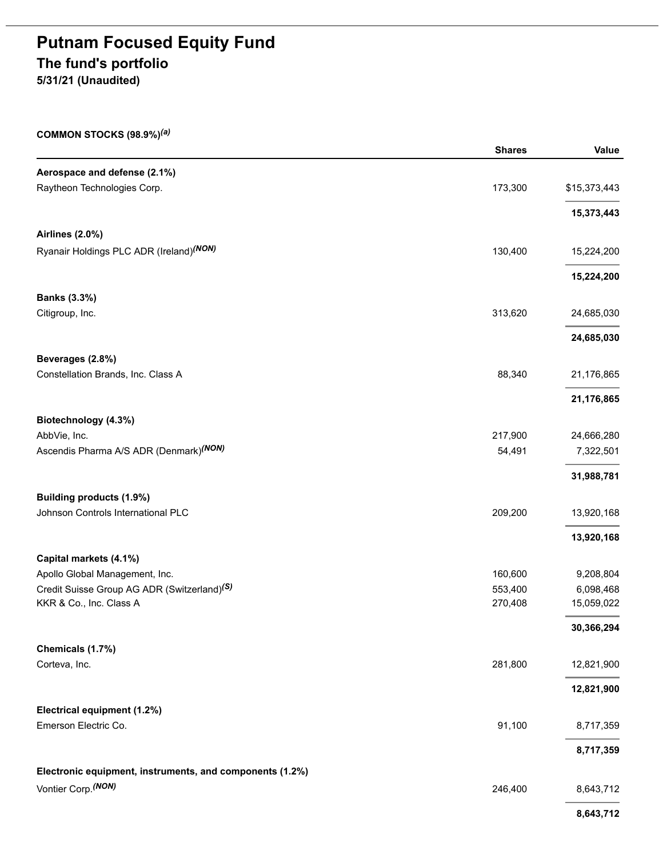# **Putnam Focused Equity Fund The fund's portfolio 5/31/21 (Unaudited)**

| COMMON STOCKS $(98.9\%)^{(a)}$                           |               |              |
|----------------------------------------------------------|---------------|--------------|
|                                                          | <b>Shares</b> | Value        |
| Aerospace and defense (2.1%)                             |               |              |
| Raytheon Technologies Corp.                              | 173,300       | \$15,373,443 |
|                                                          |               | 15,373,443   |
| <b>Airlines (2.0%)</b>                                   |               |              |
| Ryanair Holdings PLC ADR (Ireland) (NON)                 | 130,400       | 15,224,200   |
|                                                          |               |              |
|                                                          |               | 15,224,200   |
| <b>Banks (3.3%)</b>                                      |               |              |
| Citigroup, Inc.                                          | 313,620       | 24,685,030   |
|                                                          |               | 24,685,030   |
| Beverages (2.8%)                                         |               |              |
| Constellation Brands, Inc. Class A                       | 88,340        | 21,176,865   |
|                                                          |               | 21,176,865   |
| Biotechnology (4.3%)                                     |               |              |
| AbbVie, Inc.                                             | 217,900       | 24,666,280   |
| Ascendis Pharma A/S ADR (Denmark) <sup>(NON)</sup>       | 54,491        | 7,322,501    |
|                                                          |               | 31,988,781   |
| Building products (1.9%)                                 |               |              |
| Johnson Controls International PLC                       | 209,200       | 13,920,168   |
|                                                          |               | 13,920,168   |
| Capital markets (4.1%)                                   |               |              |
| Apollo Global Management, Inc.                           | 160,600       | 9,208,804    |
| Credit Suisse Group AG ADR (Switzerland) <sup>(S)</sup>  | 553,400       | 6,098,468    |
| KKR & Co., Inc. Class A                                  | 270,408       | 15,059,022   |
|                                                          |               | 30,366,294   |
| Chemicals (1.7%)                                         |               |              |
| Corteva, Inc.                                            | 281,800       | 12,821,900   |
|                                                          |               | 12,821,900   |
| Electrical equipment (1.2%)                              |               |              |
| Emerson Electric Co.                                     | 91,100        | 8,717,359    |
|                                                          |               | 8,717,359    |
| Electronic equipment, instruments, and components (1.2%) |               |              |
| Vontier Corp. (NON)                                      | 246,400       | 8,643,712    |
|                                                          |               | 8,643,712    |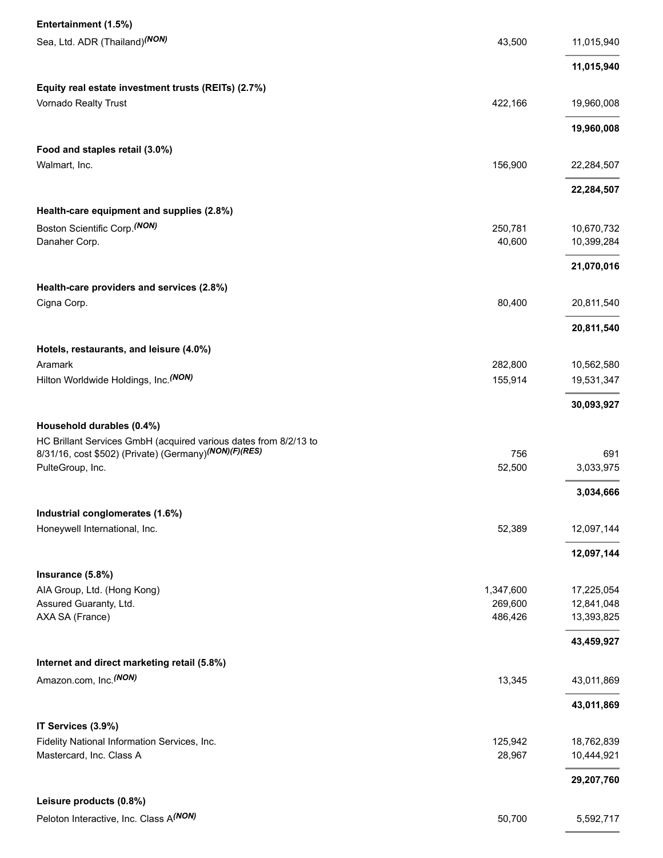| Entertainment (1.5%)                                               |           |            |
|--------------------------------------------------------------------|-----------|------------|
| Sea, Ltd. ADR (Thailand) (NON)                                     | 43,500    | 11,015,940 |
|                                                                    |           |            |
|                                                                    |           | 11,015,940 |
| Equity real estate investment trusts (REITs) (2.7%)                |           |            |
| Vornado Realty Trust                                               | 422,166   | 19,960,008 |
|                                                                    |           | 19,960,008 |
| Food and staples retail (3.0%)                                     |           |            |
| Walmart, Inc.                                                      | 156,900   | 22,284,507 |
|                                                                    |           |            |
|                                                                    |           | 22,284,507 |
| Health-care equipment and supplies (2.8%)                          |           |            |
| Boston Scientific Corp. (NON)                                      | 250,781   | 10,670,732 |
| Danaher Corp.                                                      | 40,600    | 10,399,284 |
|                                                                    |           | 21,070,016 |
|                                                                    |           |            |
| Health-care providers and services (2.8%)                          |           |            |
| Cigna Corp.                                                        | 80,400    | 20,811,540 |
|                                                                    |           | 20,811,540 |
| Hotels, restaurants, and leisure (4.0%)                            |           |            |
| Aramark                                                            | 282,800   | 10,562,580 |
| Hilton Worldwide Holdings, Inc. (NON)                              | 155,914   | 19,531,347 |
|                                                                    |           |            |
|                                                                    |           | 30,093,927 |
| Household durables (0.4%)                                          |           |            |
| HC Brillant Services GmbH (acquired various dates from 8/2/13 to   |           |            |
| 8/31/16, cost \$502) (Private) (Germany) <sup>(NON)</sup> (F)(RES) | 756       | 691        |
| PulteGroup, Inc.                                                   | 52,500    | 3,033,975  |
|                                                                    |           | 3,034,666  |
| Industrial conglomerates (1.6%)                                    |           |            |
| Honeywell International, Inc.                                      | 52,389    | 12,097,144 |
|                                                                    |           |            |
|                                                                    |           | 12,097,144 |
| Insurance (5.8%)                                                   |           |            |
| AIA Group, Ltd. (Hong Kong)                                        | 1,347,600 | 17,225,054 |
| Assured Guaranty, Ltd.                                             | 269,600   | 12,841,048 |
| AXA SA (France)                                                    | 486,426   | 13,393,825 |
|                                                                    |           | 43,459,927 |
| Internet and direct marketing retail (5.8%)                        |           |            |
| Amazon.com, Inc. <sup>(NON)</sup>                                  | 13,345    | 43,011,869 |
|                                                                    |           |            |
|                                                                    |           | 43,011,869 |
| IT Services (3.9%)                                                 |           |            |
| Fidelity National Information Services, Inc.                       | 125,942   | 18,762,839 |
| Mastercard, Inc. Class A                                           | 28,967    | 10,444,921 |
|                                                                    |           | 29,207,760 |
|                                                                    |           |            |
| Leisure products (0.8%)                                            |           |            |
| Peloton Interactive, Inc. Class A(NON)                             | 50,700    | 5,592,717  |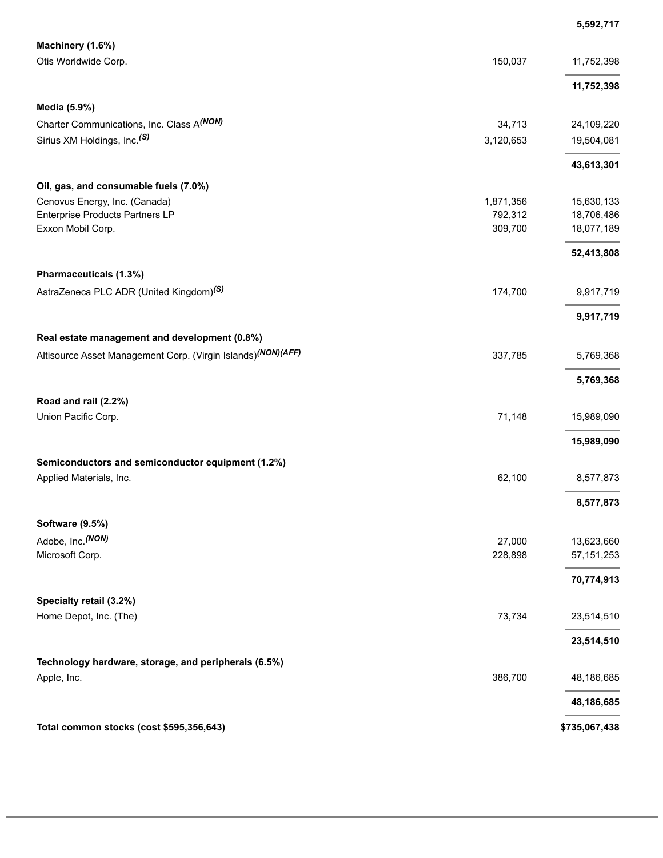|                                                              |           | 5,592,717     |
|--------------------------------------------------------------|-----------|---------------|
| Machinery (1.6%)<br>Otis Worldwide Corp.                     | 150,037   | 11,752,398    |
|                                                              |           | 11,752,398    |
| Media (5.9%)                                                 |           |               |
| Charter Communications, Inc. Class A(NON)                    | 34,713    | 24,109,220    |
| Sirius XM Holdings, Inc. <sup>(S)</sup>                      | 3,120,653 | 19,504,081    |
|                                                              |           | 43,613,301    |
| Oil, gas, and consumable fuels (7.0%)                        |           |               |
| Cenovus Energy, Inc. (Canada)                                | 1,871,356 | 15,630,133    |
| <b>Enterprise Products Partners LP</b>                       | 792,312   | 18,706,486    |
| Exxon Mobil Corp.                                            | 309,700   | 18,077,189    |
|                                                              |           | 52,413,808    |
| Pharmaceuticals (1.3%)                                       |           |               |
| AstraZeneca PLC ADR (United Kingdom) <sup>(S)</sup>          | 174,700   | 9,917,719     |
|                                                              |           | 9,917,719     |
| Real estate management and development (0.8%)                |           |               |
| Altisource Asset Management Corp. (Virgin Islands)(NON)(AFF) | 337,785   | 5,769,368     |
|                                                              |           | 5,769,368     |
| Road and rail (2.2%)                                         |           |               |
| Union Pacific Corp.                                          | 71,148    | 15,989,090    |
|                                                              |           | 15,989,090    |
| Semiconductors and semiconductor equipment (1.2%)            |           |               |
| Applied Materials, Inc.                                      | 62,100    | 8,577,873     |
|                                                              |           | 8,577,873     |
| Software (9.5%)                                              |           |               |
| Adobe, Inc. (NON)                                            | 27,000    | 13,623,660    |
| Microsoft Corp.                                              | 228,898   | 57, 151, 253  |
|                                                              |           | 70,774,913    |
| Specialty retail (3.2%)                                      |           |               |
| Home Depot, Inc. (The)                                       | 73,734    | 23,514,510    |
|                                                              |           | 23,514,510    |
| Technology hardware, storage, and peripherals (6.5%)         |           |               |
| Apple, Inc.                                                  | 386,700   | 48,186,685    |
|                                                              |           | 48,186,685    |
| Total common stocks (cost \$595,356,643)                     |           | \$735,067,438 |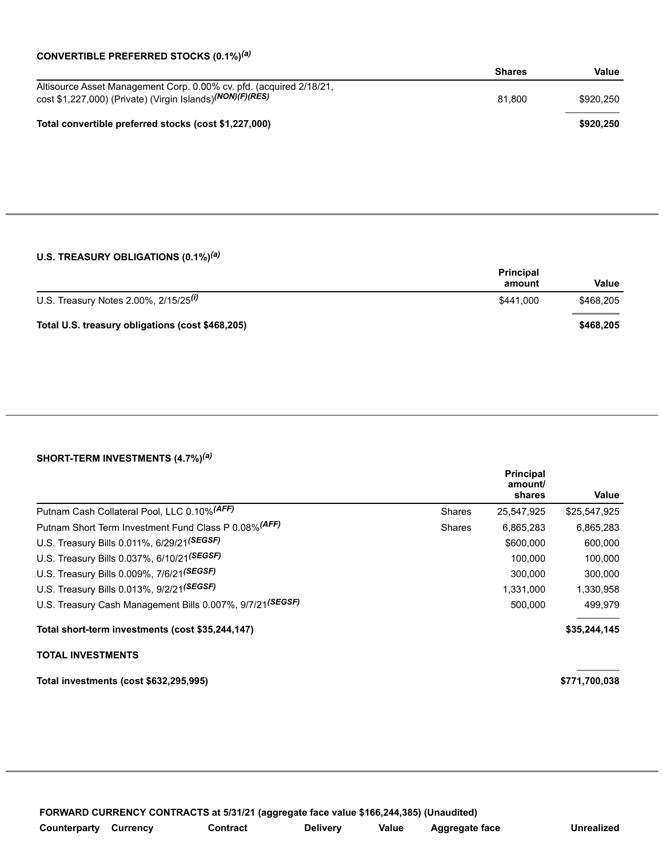#### **CONVERTIBLE PREFERRED STOCKS (0.1%)** *(a)*

|                                                                                                                                               | <b>Shares</b> | Value     |
|-----------------------------------------------------------------------------------------------------------------------------------------------|---------------|-----------|
| Altisource Asset Management Corp. 0.00% cv. pfd. (acquired 2/18/21,<br>cost \$1,227,000) (Private) (Virgin Islands) <sup>(NON)</sup> (F)(RES) | 81.800        | \$920.250 |
| Total convertible preferred stocks (cost \$1,227,000)                                                                                         |               | \$920.250 |

### **U.S. TREASURY OBLIGATIONS (0.1%)** *(a)*

|                                                  | <b>Principal</b><br>amount | Value     |
|--------------------------------------------------|----------------------------|-----------|
| U.S. Treasury Notes 2.00%, $2/15/25^{(i)}$       | \$441.000                  | \$468.205 |
| Total U.S. treasury obligations (cost \$468,205) |                            | \$468.205 |

#### **SHORT-TERM INVESTMENTS (4.7%)** *(a)*

|                                                            |               | <b>Principal</b><br>amount/<br>shares | Value         |
|------------------------------------------------------------|---------------|---------------------------------------|---------------|
| Putnam Cash Collateral Pool, LLC 0.10% (AFF)               | <b>Shares</b> | 25,547,925                            | \$25,547,925  |
| Putnam Short Term Investment Fund Class P 0.08% (AFF)      | <b>Shares</b> | 6,865,283                             | 6,865,283     |
| U.S. Treasury Bills 0.011%, 6/29/21(SEGSF)                 |               | \$600,000                             | 600,000       |
| U.S. Treasury Bills 0.037%, 6/10/21(SEGSF)                 |               | 100.000                               | 100,000       |
| U.S. Treasury Bills 0.009%, 7/6/21(SEGSF)                  |               | 300.000                               | 300.000       |
| U.S. Treasury Bills 0.013%, 9/2/21(SEGSF)                  |               | 1,331,000                             | 1,330,958     |
| U.S. Treasury Cash Management Bills 0.007%, 9/7/21 (SEGSF) |               | 500,000                               | 499,979       |
| Total short-term investments (cost \$35,244,147)           |               |                                       | \$35,244,145  |
| <b>TOTAL INVESTMENTS</b>                                   |               |                                       |               |
| Total investments (cost \$632,295,995)                     |               |                                       | \$771,700,038 |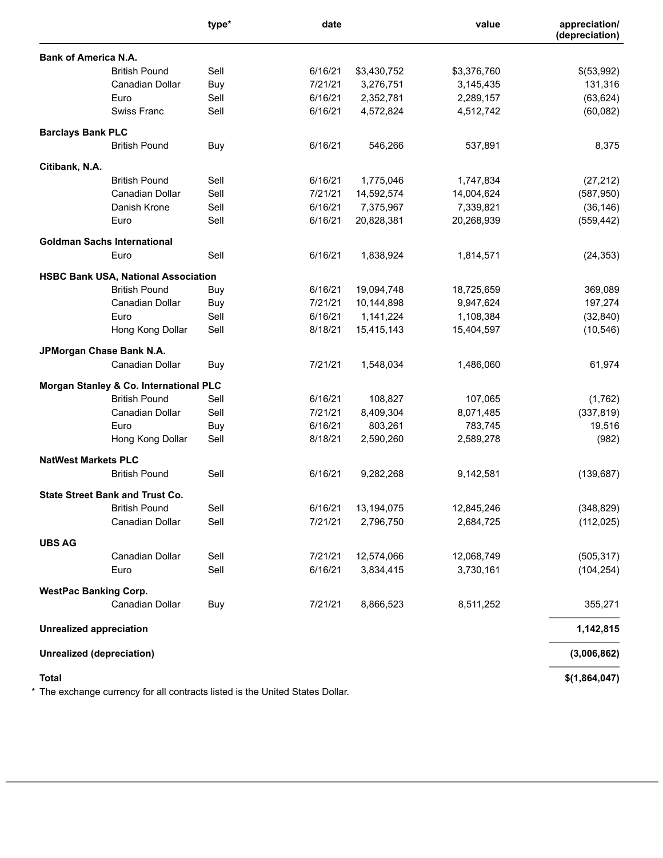|                                                   | type* | date    |             | value       | appreciation/<br>(depreciation) |
|---------------------------------------------------|-------|---------|-------------|-------------|---------------------------------|
| <b>Bank of America N.A.</b>                       |       |         |             |             |                                 |
| <b>British Pound</b>                              | Sell  | 6/16/21 | \$3,430,752 | \$3,376,760 | \$(53,992)                      |
| Canadian Dollar                                   | Buy   | 7/21/21 | 3,276,751   | 3,145,435   | 131,316                         |
| Euro                                              | Sell  | 6/16/21 | 2,352,781   | 2,289,157   | (63, 624)                       |
| Swiss Franc                                       | Sell  | 6/16/21 | 4,572,824   | 4,512,742   | (60, 082)                       |
| <b>Barclays Bank PLC</b>                          |       |         |             |             |                                 |
| <b>British Pound</b>                              | Buy   | 6/16/21 | 546,266     | 537,891     | 8,375                           |
| Citibank, N.A.                                    |       |         |             |             |                                 |
| <b>British Pound</b>                              | Sell  | 6/16/21 | 1,775,046   | 1,747,834   | (27, 212)                       |
| Canadian Dollar                                   | Sell  | 7/21/21 | 14,592,574  | 14,004,624  | (587, 950)                      |
| Danish Krone                                      | Sell  | 6/16/21 | 7,375,967   | 7,339,821   | (36, 146)                       |
| Euro                                              | Sell  | 6/16/21 | 20,828,381  | 20,268,939  | (559, 442)                      |
| <b>Goldman Sachs International</b>                |       |         |             |             |                                 |
| Euro                                              | Sell  | 6/16/21 | 1,838,924   | 1,814,571   | (24, 353)                       |
| <b>HSBC Bank USA, National Association</b>        |       |         |             |             |                                 |
| <b>British Pound</b>                              | Buy   | 6/16/21 | 19,094,748  | 18,725,659  | 369,089                         |
| Canadian Dollar                                   | Buy   | 7/21/21 | 10,144,898  | 9,947,624   | 197,274                         |
| Euro                                              | Sell  | 6/16/21 | 1,141,224   | 1,108,384   | (32, 840)                       |
| Hong Kong Dollar                                  | Sell  | 8/18/21 | 15,415,143  | 15,404,597  | (10, 546)                       |
| JPMorgan Chase Bank N.A.                          |       |         |             |             |                                 |
| Canadian Dollar                                   | Buy   | 7/21/21 | 1,548,034   | 1,486,060   | 61,974                          |
| <b>Morgan Stanley &amp; Co. International PLC</b> |       |         |             |             |                                 |
| <b>British Pound</b>                              | Sell  | 6/16/21 | 108,827     | 107,065     | (1,762)                         |
| Canadian Dollar                                   | Sell  | 7/21/21 | 8,409,304   | 8,071,485   | (337, 819)                      |
| Euro                                              | Buy   | 6/16/21 | 803,261     | 783,745     | 19,516                          |
| Hong Kong Dollar                                  | Sell  | 8/18/21 | 2,590,260   | 2,589,278   | (982)                           |
| <b>NatWest Markets PLC</b>                        |       |         |             |             |                                 |
| <b>British Pound</b>                              | Sell  | 6/16/21 | 9,282,268   | 9,142,581   | (139, 687)                      |
| <b>State Street Bank and Trust Co.</b>            |       |         |             |             |                                 |
| <b>British Pound</b>                              | Sell  | 6/16/21 | 13,194,075  | 12,845,246  | (348, 829)                      |
| Canadian Dollar                                   | Sell  | 7/21/21 | 2,796,750   | 2,684,725   | (112, 025)                      |
| <b>UBS AG</b>                                     |       |         |             |             |                                 |
| Canadian Dollar                                   | Sell  | 7/21/21 | 12,574,066  | 12,068,749  | (505, 317)                      |
| Euro                                              | Sell  | 6/16/21 | 3,834,415   | 3,730,161   | (104, 254)                      |
| <b>WestPac Banking Corp.</b>                      |       |         |             |             |                                 |
| Canadian Dollar                                   | Buy   | 7/21/21 | 8,866,523   | 8,511,252   | 355,271                         |
| <b>Unrealized appreciation</b>                    |       |         |             |             | 1,142,815                       |
| <b>Unrealized (depreciation)</b>                  |       |         |             |             | (3,006,862)                     |
| <b>Total</b>                                      |       |         |             |             | \$(1,864,047)                   |

\* The exchange currency for all contracts listed is the United States Dollar.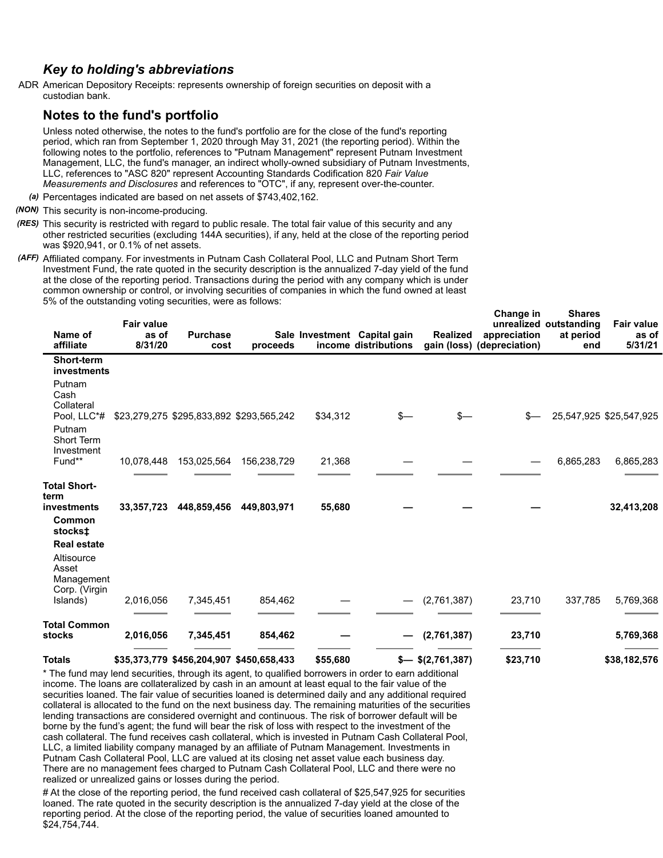## *Key to holding's abbreviations*

ADR American Depository Receipts: represents ownership of foreign securities on deposit with a custodian bank.

## **Notes to the fund's portfolio**

Unless noted otherwise, the notes to the fund's portfolio are for the close of the fund's reporting period, which ran from September 1, 2020 through May 31, 2021 (the reporting period). Within the following notes to the portfolio, references to "Putnam Management" represent Putnam Investment Management, LLC, the fund's manager, an indirect wholly-owned subsidiary of Putnam Investments, LLC, references to "ASC 820" represent Accounting Standards Codification 820 *Fair Value Measurements and Disclosures* and references to "OTC", if any, represent over-the-counter.

*(a)* Percentages indicated are based on net assets of \$743,402,162.

- *(NON)* This security is non-income-producing.
- *(RES)* This security is restricted with regard to public resale. The total fair value of this security and any other restricted securities (excluding 144A securities), if any, held at the close of the reporting period was \$920,941, or 0.1% of net assets.
- *(AFF)* Affiliated company. For investments in Putnam Cash Collateral Pool, LLC and Putnam Short Term Investment Fund, the rate quoted in the security description is the annualized 7-day yield of the fund at the close of the reporting period. Transactions during the period with any company which is under common ownership or control, or involving securities of companies in which the fund owned at least 5% of the outstanding voting securities, were as follows:

| Name of<br>affiliate                                                     | <b>Fair value</b><br>as of<br>8/31/20 | <b>Purchase</b><br>cost | proceeds                                 |          | Sale Investment Capital gain<br>income distributions | <b>Realized</b>    | onang <del>e</del> in<br>appreciation<br>gain (loss) (depreciation) | JIIGI <del>c</del> s<br>unrealized outstanding<br>at period<br>end | <b>Fair value</b><br>as of<br>5/31/21 |
|--------------------------------------------------------------------------|---------------------------------------|-------------------------|------------------------------------------|----------|------------------------------------------------------|--------------------|---------------------------------------------------------------------|--------------------------------------------------------------------|---------------------------------------|
| Short-term<br>investments                                                |                                       |                         |                                          |          |                                                      |                    |                                                                     |                                                                    |                                       |
| Putnam<br>Cash<br>Collateral                                             |                                       |                         |                                          |          |                                                      |                    |                                                                     |                                                                    |                                       |
| Pool, LLC*#<br>Putnam<br>Short Term<br>Investment                        |                                       |                         | \$23,279,275 \$295,833,892 \$293,565,242 | \$34,312 | $s-$                                                 | $s-$               |                                                                     |                                                                    | 25,547,925 \$25,547,925               |
| Fund**                                                                   | 10,078,448                            | 153,025,564             | 156,238,729                              | 21,368   |                                                      |                    |                                                                     | 6,865,283                                                          | 6,865,283                             |
| <b>Total Short-</b><br>term<br>investments                               | 33,357,723                            | 448,859,456             | 449,803,971                              | 55,680   |                                                      |                    |                                                                     |                                                                    | 32,413,208                            |
| Common<br>stocks <b>±</b>                                                |                                       |                         |                                          |          |                                                      |                    |                                                                     |                                                                    |                                       |
| <b>Real estate</b><br>Altisource<br>Asset<br>Management<br>Corp. (Virgin |                                       |                         |                                          |          |                                                      |                    |                                                                     |                                                                    |                                       |
| Islands)                                                                 | 2,016,056                             | 7,345,451               | 854,462                                  |          |                                                      | (2,761,387)        | 23,710                                                              | 337,785                                                            | 5,769,368                             |
| <b>Total Common</b><br>stocks                                            | 2,016,056                             | 7,345,451               | 854,462                                  |          |                                                      | (2,761,387)        | 23,710                                                              |                                                                    | 5,769,368                             |
| <b>Totals</b>                                                            |                                       |                         | \$35,373,779 \$456,204,907 \$450,658,433 | \$55,680 |                                                      | $$-$ \$(2,761,387) | \$23,710                                                            |                                                                    | \$38,182,576                          |

**Change in**

**Shares**

\* The fund may lend securities, through its agent, to qualified borrowers in order to earn additional income. The loans are collateralized by cash in an amount at least equal to the fair value of the securities loaned. The fair value of securities loaned is determined daily and any additional required collateral is allocated to the fund on the next business day. The remaining maturities of the securities lending transactions are considered overnight and continuous. The risk of borrower default will be borne by the fund's agent; the fund will bear the risk of loss with respect to the investment of the cash collateral. The fund receives cash collateral, which is invested in Putnam Cash Collateral Pool, LLC, a limited liability company managed by an affiliate of Putnam Management. Investments in Putnam Cash Collateral Pool, LLC are valued at its closing net asset value each business day. There are no management fees charged to Putnam Cash Collateral Pool, LLC and there were no realized or unrealized gains or losses during the period.

# At the close of the reporting period, the fund received cash collateral of \$25,547,925 for securities loaned. The rate quoted in the security description is the annualized 7-day yield at the close of the reporting period. At the close of the reporting period, the value of securities loaned amounted to \$24,754,744.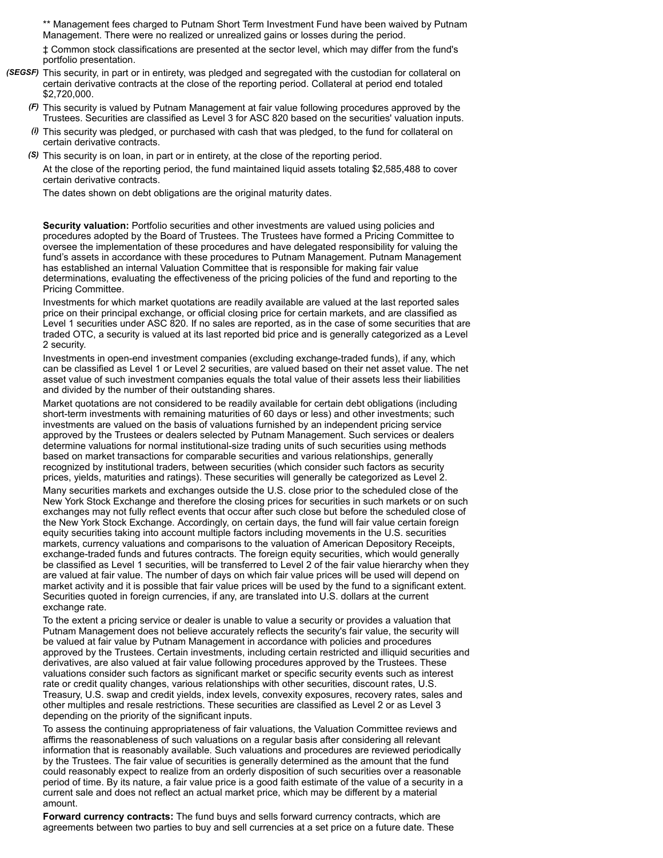\*\* Management fees charged to Putnam Short Term Investment Fund have been waived by Putnam Management. There were no realized or unrealized gains or losses during the period.

‡ Common stock classifications are presented at the sector level, which may differ from the fund's portfolio presentation.

- *(SEGSF)* This security, in part or in entirety, was pledged and segregated with the custodian for collateral on certain derivative contracts at the close of the reporting period. Collateral at period end totaled \$2,720,000.
	- *(F)* This security is valued by Putnam Management at fair value following procedures approved by the Trustees. Securities are classified as Level 3 for ASC 820 based on the securities' valuation inputs.
	- *(i)* This security was pledged, or purchased with cash that was pledged, to the fund for collateral on certain derivative contracts.
	- *(S)* This security is on loan, in part or in entirety, at the close of the reporting period. At the close of the reporting period, the fund maintained liquid assets totaling \$2,585,488 to cover certain derivative contracts.

The dates shown on debt obligations are the original maturity dates.

**Security valuation:** Portfolio securities and other investments are valued using policies and procedures adopted by the Board of Trustees. The Trustees have formed a Pricing Committee to oversee the implementation of these procedures and have delegated responsibility for valuing the fund's assets in accordance with these procedures to Putnam Management. Putnam Management has established an internal Valuation Committee that is responsible for making fair value determinations, evaluating the effectiveness of the pricing policies of the fund and reporting to the Pricing Committee.

Investments for which market quotations are readily available are valued at the last reported sales price on their principal exchange, or official closing price for certain markets, and are classified as Level 1 securities under ASC 820. If no sales are reported, as in the case of some securities that are traded OTC, a security is valued at its last reported bid price and is generally categorized as a Level 2 security.

Investments in open-end investment companies (excluding exchange-traded funds), if any, which can be classified as Level 1 or Level 2 securities, are valued based on their net asset value. The net asset value of such investment companies equals the total value of their assets less their liabilities and divided by the number of their outstanding shares.

Market quotations are not considered to be readily available for certain debt obligations (including short-term investments with remaining maturities of 60 days or less) and other investments; such investments are valued on the basis of valuations furnished by an independent pricing service approved by the Trustees or dealers selected by Putnam Management. Such services or dealers determine valuations for normal institutional-size trading units of such securities using methods based on market transactions for comparable securities and various relationships, generally recognized by institutional traders, between securities (which consider such factors as security prices, yields, maturities and ratings). These securities will generally be categorized as Level 2.

Many securities markets and exchanges outside the U.S. close prior to the scheduled close of the New York Stock Exchange and therefore the closing prices for securities in such markets or on such exchanges may not fully reflect events that occur after such close but before the scheduled close of the New York Stock Exchange. Accordingly, on certain days, the fund will fair value certain foreign equity securities taking into account multiple factors including movements in the U.S. securities markets, currency valuations and comparisons to the valuation of American Depository Receipts, exchange-traded funds and futures contracts. The foreign equity securities, which would generally be classified as Level 1 securities, will be transferred to Level 2 of the fair value hierarchy when they are valued at fair value. The number of days on which fair value prices will be used will depend on market activity and it is possible that fair value prices will be used by the fund to a significant extent. Securities quoted in foreign currencies, if any, are translated into U.S. dollars at the current exchange rate.

To the extent a pricing service or dealer is unable to value a security or provides a valuation that Putnam Management does not believe accurately reflects the security's fair value, the security will be valued at fair value by Putnam Management in accordance with policies and procedures approved by the Trustees. Certain investments, including certain restricted and illiquid securities and derivatives, are also valued at fair value following procedures approved by the Trustees. These valuations consider such factors as significant market or specific security events such as interest rate or credit quality changes, various relationships with other securities, discount rates, U.S. Treasury, U.S. swap and credit yields, index levels, convexity exposures, recovery rates, sales and other multiples and resale restrictions. These securities are classified as Level 2 or as Level 3 depending on the priority of the significant inputs.

To assess the continuing appropriateness of fair valuations, the Valuation Committee reviews and affirms the reasonableness of such valuations on a regular basis after considering all relevant information that is reasonably available. Such valuations and procedures are reviewed periodically by the Trustees. The fair value of securities is generally determined as the amount that the fund could reasonably expect to realize from an orderly disposition of such securities over a reasonable period of time. By its nature, a fair value price is a good faith estimate of the value of a security in a current sale and does not reflect an actual market price, which may be different by a material amount.

**Forward currency contracts:** The fund buys and sells forward currency contracts, which are agreements between two parties to buy and sell currencies at a set price on a future date. These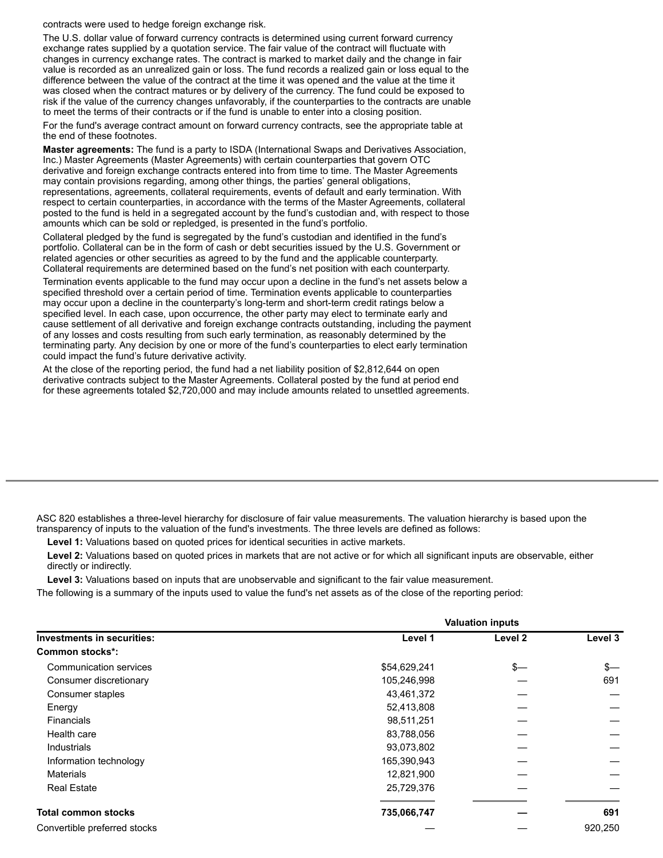contracts were used to hedge foreign exchange risk.

The U.S. dollar value of forward currency contracts is determined using current forward currency exchange rates supplied by a quotation service. The fair value of the contract will fluctuate with changes in currency exchange rates. The contract is marked to market daily and the change in fair value is recorded as an unrealized gain or loss. The fund records a realized gain or loss equal to the difference between the value of the contract at the time it was opened and the value at the time it was closed when the contract matures or by delivery of the currency. The fund could be exposed to risk if the value of the currency changes unfavorably, if the counterparties to the contracts are unable to meet the terms of their contracts or if the fund is unable to enter into a closing position.

For the fund's average contract amount on forward currency contracts, see the appropriate table at the end of these footnotes.

**Master agreements:** The fund is a party to ISDA (International Swaps and Derivatives Association, Inc.) Master Agreements (Master Agreements) with certain counterparties that govern OTC derivative and foreign exchange contracts entered into from time to time. The Master Agreements may contain provisions regarding, among other things, the parties' general obligations, representations, agreements, collateral requirements, events of default and early termination. With respect to certain counterparties, in accordance with the terms of the Master Agreements, collateral posted to the fund is held in a segregated account by the fund's custodian and, with respect to those amounts which can be sold or repledged, is presented in the fund's portfolio.

Collateral pledged by the fund is segregated by the fund's custodian and identified in the fund's portfolio. Collateral can be in the form of cash or debt securities issued by the U.S. Government or related agencies or other securities as agreed to by the fund and the applicable counterparty. Collateral requirements are determined based on the fund's net position with each counterparty.

Termination events applicable to the fund may occur upon a decline in the fund's net assets below a specified threshold over a certain period of time. Termination events applicable to counterparties may occur upon a decline in the counterparty's long-term and short-term credit ratings below a specified level. In each case, upon occurrence, the other party may elect to terminate early and cause settlement of all derivative and foreign exchange contracts outstanding, including the payment of any losses and costs resulting from such early termination, as reasonably determined by the terminating party. Any decision by one or more of the fund's counterparties to elect early termination could impact the fund's future derivative activity.

At the close of the reporting period, the fund had a net liability position of \$2,812,644 on open derivative contracts subject to the Master Agreements. Collateral posted by the fund at period end for these agreements totaled \$2,720,000 and may include amounts related to unsettled agreements.

ASC 820 establishes a three-level hierarchy for disclosure of fair value measurements. The valuation hierarchy is based upon the transparency of inputs to the valuation of the fund's investments. The three levels are defined as follows:

**Level 1:** Valuations based on quoted prices for identical securities in active markets.

**Level 2:** Valuations based on quoted prices in markets that are not active or for which all significant inputs are observable, either directly or indirectly.

**Level 3:** Valuations based on inputs that are unobservable and significant to the fair value measurement.

The following is a summary of the inputs used to value the fund's net assets as of the close of the reporting period:

|                                   | <b>Valuation inputs</b> |         |         |  |  |  |
|-----------------------------------|-------------------------|---------|---------|--|--|--|
| <b>Investments in securities:</b> | Level 1                 | Level 2 | Level 3 |  |  |  |
| <b>Common stocks*:</b>            |                         |         |         |  |  |  |
| Communication services            | \$54,629,241            | \$—     | $s-$    |  |  |  |
| Consumer discretionary            | 105,246,998             |         | 691     |  |  |  |
| Consumer staples                  | 43,461,372              |         |         |  |  |  |
| Energy                            | 52,413,808              |         |         |  |  |  |
| Financials                        | 98,511,251              |         |         |  |  |  |
| Health care                       | 83,788,056              |         |         |  |  |  |
| Industrials                       | 93,073,802              |         |         |  |  |  |
| Information technology            | 165,390,943             |         |         |  |  |  |
| <b>Materials</b>                  | 12,821,900              |         |         |  |  |  |
| <b>Real Estate</b>                | 25,729,376              |         |         |  |  |  |
| <b>Total common stocks</b>        | 735,066,747             |         | 691     |  |  |  |
| Convertible preferred stocks      |                         |         | 920,250 |  |  |  |